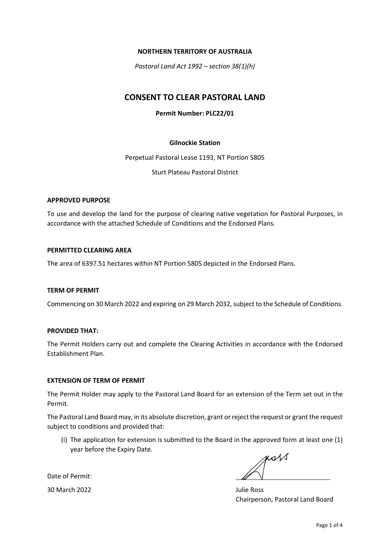## NORTHERN TERRITORY OF AUSTRALIA

Pastoral Land Act 1992 – section 38(1)(h)

# CONSENT TO CLEAR PASTORAL LAND

# Permit Number: PLC22/01

## Gilnockie Station

Perpetual Pastoral Lease 1193, NT Portion 5805

Sturt Plateau Pastoral District

## APPROVED PURPOSE

To use and develop the land for the purpose of clearing native vegetation for Pastoral Purposes, in accordance with the attached Schedule of Conditions and the Endorsed Plans.

## PERMITTED CLEARING AREA

The area of 6397.51 hectares within NT Portion 5805 depicted in the Endorsed Plans.

#### TERM OF PERMIT

Commencing on 30 March 2022 and expiring on 29 March 2032, subject to the Schedule of Conditions.

#### PROVIDED THAT:

The Permit Holders carry out and complete the Clearing Activities in accordance with the Endorsed Establishment Plan.

#### EXTENSION OF TERM OF PERMIT

The Permit Holder may apply to the Pastoral Land Board for an extension of the Term set out in the Permit.

The Pastoral Land Board may, in its absolute discretion, grant or reject the request or grant the request subject to conditions and provided that:

(i) The application for extension is submitted to the Board in the approved form at least one (1) year before the Expiry Date.

poss

Date of Permit:

30 March 2022 **Julie Ross** 

Chairperson, Pastoral Land Board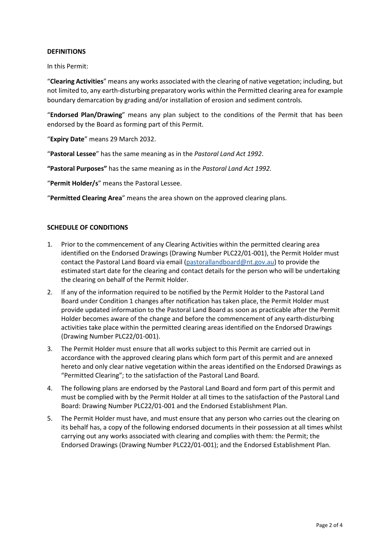## DEFINITIONS

In this Permit:

"Clearing Activities" means any works associated with the clearing of native vegetation; including, but not limited to, any earth-disturbing preparatory works within the Permitted clearing area for example boundary demarcation by grading and/or installation of erosion and sediment controls.

"Endorsed Plan/Drawing" means any plan subject to the conditions of the Permit that has been endorsed by the Board as forming part of this Permit.

"Expiry Date" means 29 March 2032.

"Pastoral Lessee" has the same meaning as in the Pastoral Land Act 1992.

"Pastoral Purposes" has the same meaning as in the Pastoral Land Act 1992.

"Permit Holder/s" means the Pastoral Lessee.

"Permitted Clearing Area" means the area shown on the approved clearing plans.

## SCHEDULE OF CONDITIONS

- 1. Prior to the commencement of any Clearing Activities within the permitted clearing area identified on the Endorsed Drawings (Drawing Number PLC22/01-001), the Permit Holder must contact the Pastoral Land Board via email (pastorallandboard@nt.gov.au) to provide the estimated start date for the clearing and contact details for the person who will be undertaking the clearing on behalf of the Permit Holder.
- 2. If any of the information required to be notified by the Permit Holder to the Pastoral Land Board under Condition 1 changes after notification has taken place, the Permit Holder must provide updated information to the Pastoral Land Board as soon as practicable after the Permit Holder becomes aware of the change and before the commencement of any earth-disturbing activities take place within the permitted clearing areas identified on the Endorsed Drawings (Drawing Number PLC22/01-001).
- 3. The Permit Holder must ensure that all works subject to this Permit are carried out in accordance with the approved clearing plans which form part of this permit and are annexed hereto and only clear native vegetation within the areas identified on the Endorsed Drawings as "Permitted Clearing"; to the satisfaction of the Pastoral Land Board.
- 4. The following plans are endorsed by the Pastoral Land Board and form part of this permit and must be complied with by the Permit Holder at all times to the satisfaction of the Pastoral Land Board: Drawing Number PLC22/01-001 and the Endorsed Establishment Plan.
- 5. The Permit Holder must have, and must ensure that any person who carries out the clearing on its behalf has, a copy of the following endorsed documents in their possession at all times whilst carrying out any works associated with clearing and complies with them: the Permit; the Endorsed Drawings (Drawing Number PLC22/01-001); and the Endorsed Establishment Plan.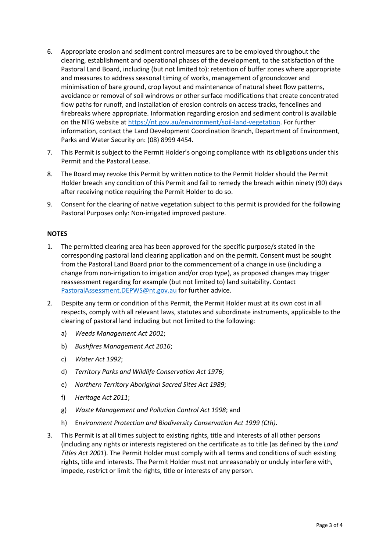- 6. Appropriate erosion and sediment control measures are to be employed throughout the clearing, establishment and operational phases of the development, to the satisfaction of the Pastoral Land Board, including (but not limited to): retention of buffer zones where appropriate and measures to address seasonal timing of works, management of groundcover and minimisation of bare ground, crop layout and maintenance of natural sheet flow patterns, avoidance or removal of soil windrows or other surface modifications that create concentrated flow paths for runoff, and installation of erosion controls on access tracks, fencelines and firebreaks where appropriate. Information regarding erosion and sediment control is available on the NTG website at https://nt.gov.au/environment/soil-land-vegetation. For further information, contact the Land Development Coordination Branch, Department of Environment, Parks and Water Security on: (08) 8999 4454.
- 7. This Permit is subject to the Permit Holder's ongoing compliance with its obligations under this Permit and the Pastoral Lease.
- 8. The Board may revoke this Permit by written notice to the Permit Holder should the Permit Holder breach any condition of this Permit and fail to remedy the breach within ninety (90) days after receiving notice requiring the Permit Holder to do so.
- 9. Consent for the clearing of native vegetation subject to this permit is provided for the following Pastoral Purposes only: Non-irrigated improved pasture.

## **NOTES**

- 1. The permitted clearing area has been approved for the specific purpose/s stated in the corresponding pastoral land clearing application and on the permit. Consent must be sought from the Pastoral Land Board prior to the commencement of a change in use (including a change from non-irrigation to irrigation and/or crop type), as proposed changes may trigger reassessment regarding for example (but not limited to) land suitability. Contact PastoralAssessment.DEPWS@nt.gov.au for further advice.
- 2. Despite any term or condition of this Permit, the Permit Holder must at its own cost in all respects, comply with all relevant laws, statutes and subordinate instruments, applicable to the clearing of pastoral land including but not limited to the following:
	- a) Weeds Management Act 2001;
	- b) Bushfires Management Act 2016;
	- c) Water Act 1992;
	- d) Territory Parks and Wildlife Conservation Act 1976;
	- e) Northern Territory Aboriginal Sacred Sites Act 1989;
	- f) Heritage Act 2011;
	- g) Waste Management and Pollution Control Act 1998; and
	- h) Environment Protection and Biodiversity Conservation Act 1999 (Cth).
- 3. This Permit is at all times subject to existing rights, title and interests of all other persons (including any rights or interests registered on the certificate as to title (as defined by the Land Titles Act 2001). The Permit Holder must comply with all terms and conditions of such existing rights, title and interests. The Permit Holder must not unreasonably or unduly interfere with, impede, restrict or limit the rights, title or interests of any person.